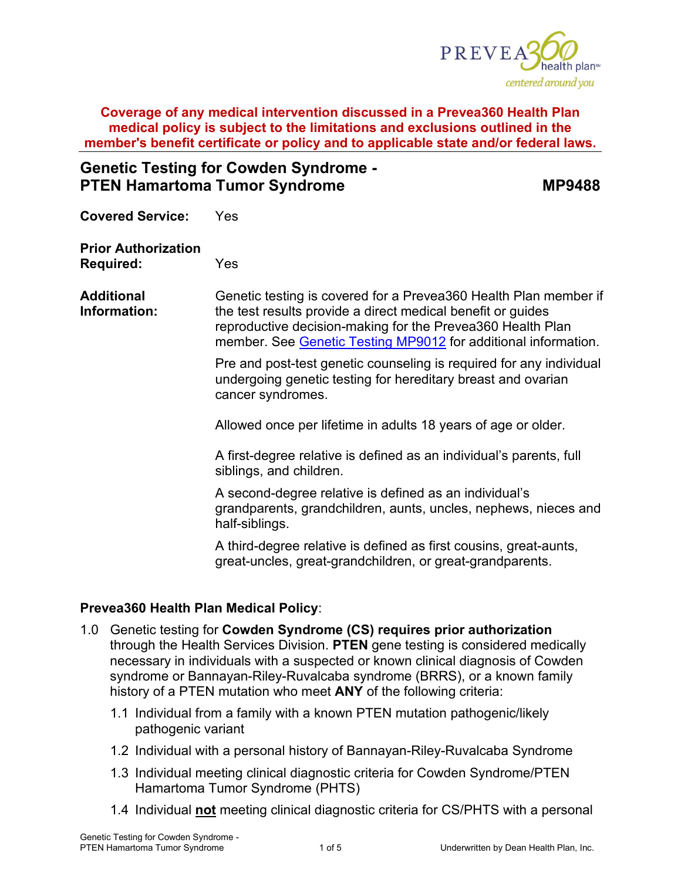

**Genetic Testing for Cowden Syndrome - PTEN Hamartoma Tumor Syndrome MP9488** 

**Covered Service:** Yes

**Prior Authorization Required:** Yes

**Additional Information:** Genetic testing is covered for a Prevea360 Health Plan member if the test results provide a direct medical benefit or guides reproductive decision-making for the Prevea360 Health Plan member. See [Genetic Testing MP9012](https://www.prevea360.com/DocumentLibrary/PDF/Medical-Policies/Genetic-Testing-9012) for additional information.

> Pre and post-test genetic counseling is required for any individual undergoing genetic testing for hereditary breast and ovarian cancer syndromes.

Allowed once per lifetime in adults 18 years of age or older.

A first-degree relative is defined as an individual's parents, full siblings, and children.

A second-degree relative is defined as an individual's grandparents, grandchildren, aunts, uncles, nephews, nieces and half-siblings.

A third-degree relative is defined as first cousins, great-aunts, great-uncles, great-grandchildren, or great-grandparents.

### **Prevea360 Health Plan Medical Policy**:

- 1.0 Genetic testing for **Cowden Syndrome (CS) requires prior authorization** through the Health Services Division. **PTEN** gene testing is considered medically necessary in individuals with a suspected or known clinical diagnosis of Cowden syndrome or Bannayan-Riley-Ruvalcaba syndrome (BRRS), or a known family history of a PTEN mutation who meet **ANY** of the following criteria:
	- 1.1 Individual from a family with a known PTEN mutation pathogenic/likely pathogenic variant
	- 1.2 Individual with a personal history of Bannayan-Riley-Ruvalcaba Syndrome
	- 1.3 Individual meeting clinical diagnostic criteria for Cowden Syndrome/PTEN Hamartoma Tumor Syndrome (PHTS)
	- 1.4 Individual **not** meeting clinical diagnostic criteria for CS/PHTS with a personal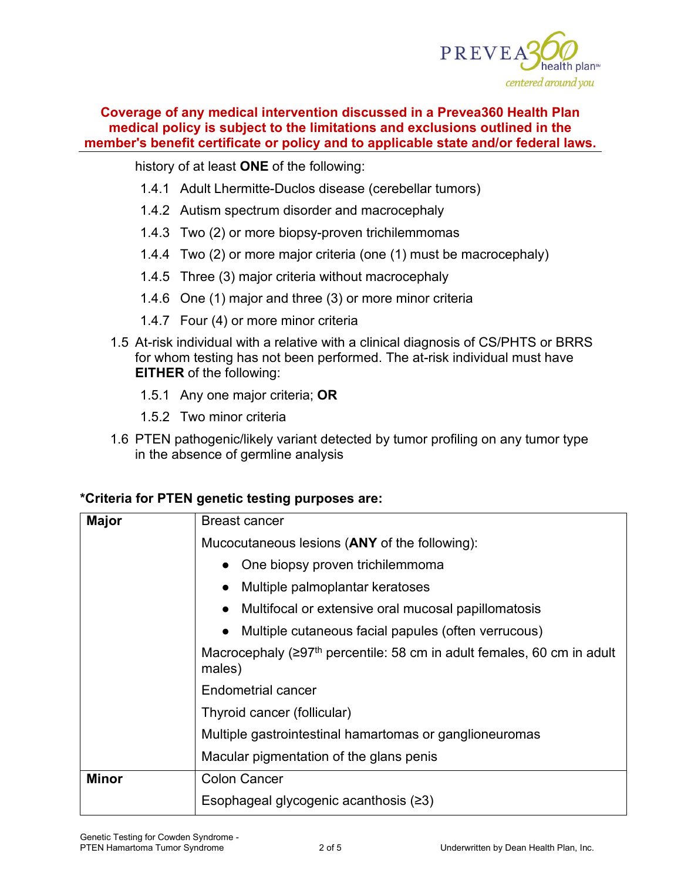

history of at least **ONE** of the following:

- 1.4.1 Adult Lhermitte-Duclos disease (cerebellar tumors)
- 1.4.2 Autism spectrum disorder and macrocephaly
- 1.4.3 Two (2) or more biopsy-proven trichilemmomas
- 1.4.4 Two (2) or more major criteria (one (1) must be macrocephaly)
- 1.4.5 Three (3) major criteria without macrocephaly
- 1.4.6 One (1) major and three (3) or more minor criteria
- 1.4.7 Four (4) or more minor criteria
- 1.5 At-risk individual with a relative with a clinical diagnosis of CS/PHTS or BRRS for whom testing has not been performed. The at-risk individual must have **EITHER** of the following:
	- 1.5.1 Any one major criteria; **OR**
	- 1.5.2 Two minor criteria
- 1.6 PTEN pathogenic/likely variant detected by tumor profiling on any tumor type in the absence of germline analysis

### **\*Criteria for PTEN genetic testing purposes are:**

| <b>Major</b> | <b>Breast cancer</b>                                                                                |  |  |  |
|--------------|-----------------------------------------------------------------------------------------------------|--|--|--|
|              | Mucocutaneous lesions (ANY of the following):                                                       |  |  |  |
|              | One biopsy proven trichilemmoma<br>$\bullet$                                                        |  |  |  |
|              | Multiple palmoplantar keratoses                                                                     |  |  |  |
|              | Multifocal or extensive oral mucosal papillomatosis                                                 |  |  |  |
|              | Multiple cutaneous facial papules (often verrucous)                                                 |  |  |  |
|              | Macrocephaly ( $\geq$ 97 <sup>th</sup> percentile: 58 cm in adult females, 60 cm in adult<br>males) |  |  |  |
|              | Endometrial cancer                                                                                  |  |  |  |
|              | Thyroid cancer (follicular)                                                                         |  |  |  |
|              | Multiple gastrointestinal hamartomas or ganglioneuromas                                             |  |  |  |
|              | Macular pigmentation of the glans penis                                                             |  |  |  |
| <b>Minor</b> | <b>Colon Cancer</b>                                                                                 |  |  |  |
|              | Esophageal glycogenic acanthosis $(23)$                                                             |  |  |  |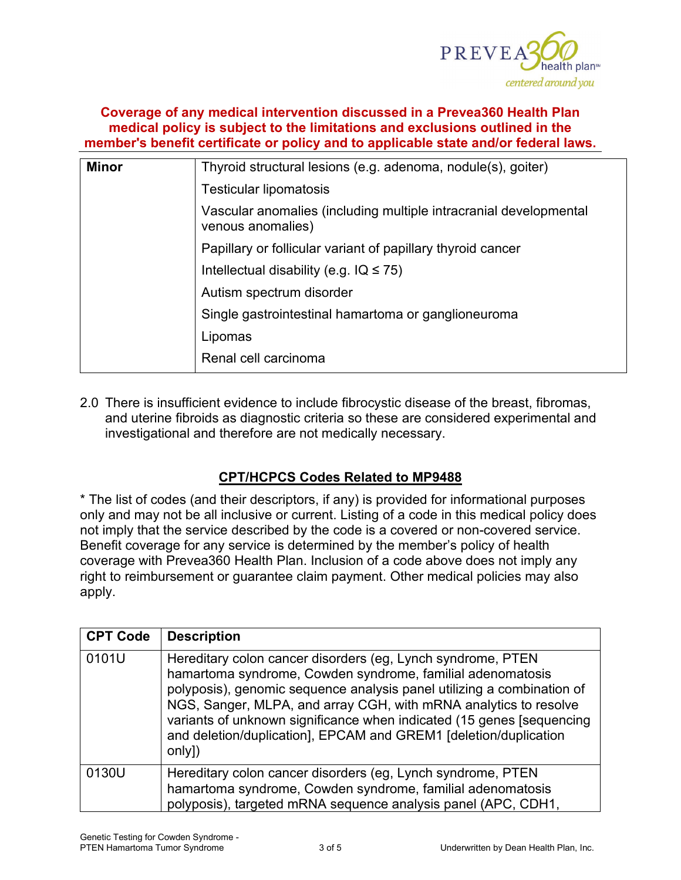

| <b>Minor</b> | Thyroid structural lesions (e.g. adenoma, nodule(s), goiter)                           |  |
|--------------|----------------------------------------------------------------------------------------|--|
|              | Testicular lipomatosis                                                                 |  |
|              | Vascular anomalies (including multiple intracranial developmental<br>venous anomalies) |  |
|              | Papillary or follicular variant of papillary thyroid cancer                            |  |
|              | Intellectual disability (e.g. $IQ \leq 75$ )                                           |  |
|              | Autism spectrum disorder                                                               |  |
|              | Single gastrointestinal hamartoma or ganglioneuroma                                    |  |
|              | Lipomas                                                                                |  |
|              | Renal cell carcinoma                                                                   |  |

2.0 There is insufficient evidence to include fibrocystic disease of the breast, fibromas, and uterine fibroids as diagnostic criteria so these are considered experimental and investigational and therefore are not medically necessary.

### **CPT/HCPCS Codes Related to MP9488**

\* The list of codes (and their descriptors, if any) is provided for informational purposes only and may not be all inclusive or current. Listing of a code in this medical policy does not imply that the service described by the code is a covered or non-covered service. Benefit coverage for any service is determined by the member's policy of health coverage with Prevea360 Health Plan. Inclusion of a code above does not imply any right to reimbursement or guarantee claim payment. Other medical policies may also apply.

| <b>CPT Code</b> | <b>Description</b>                                                                                                                                                                                                                                                                                                                                                                                                              |
|-----------------|---------------------------------------------------------------------------------------------------------------------------------------------------------------------------------------------------------------------------------------------------------------------------------------------------------------------------------------------------------------------------------------------------------------------------------|
| 0101U           | Hereditary colon cancer disorders (eg, Lynch syndrome, PTEN<br>hamartoma syndrome, Cowden syndrome, familial adenomatosis<br>polyposis), genomic sequence analysis panel utilizing a combination of<br>NGS, Sanger, MLPA, and array CGH, with mRNA analytics to resolve<br>variants of unknown significance when indicated (15 genes [sequencing]<br>and deletion/duplication], EPCAM and GREM1 [deletion/duplication<br>only]) |
| 0130U           | Hereditary colon cancer disorders (eg, Lynch syndrome, PTEN<br>hamartoma syndrome, Cowden syndrome, familial adenomatosis<br>polyposis), targeted mRNA sequence analysis panel (APC, CDH1,                                                                                                                                                                                                                                      |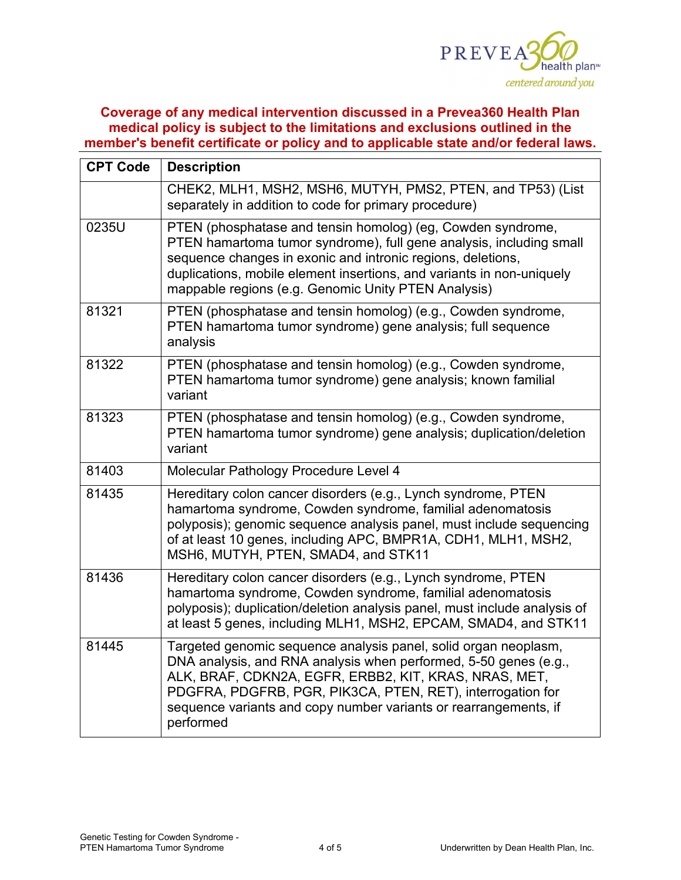

| <b>CPT Code</b> | <b>Description</b>                                                                                                                                                                                                                                                                                                                          |  |
|-----------------|---------------------------------------------------------------------------------------------------------------------------------------------------------------------------------------------------------------------------------------------------------------------------------------------------------------------------------------------|--|
|                 | CHEK2, MLH1, MSH2, MSH6, MUTYH, PMS2, PTEN, and TP53) (List<br>separately in addition to code for primary procedure)                                                                                                                                                                                                                        |  |
| 0235U           | PTEN (phosphatase and tensin homolog) (eg, Cowden syndrome,<br>PTEN hamartoma tumor syndrome), full gene analysis, including small<br>sequence changes in exonic and intronic regions, deletions,<br>duplications, mobile element insertions, and variants in non-uniquely<br>mappable regions (e.g. Genomic Unity PTEN Analysis)           |  |
| 81321           | PTEN (phosphatase and tensin homolog) (e.g., Cowden syndrome,<br>PTEN hamartoma tumor syndrome) gene analysis; full sequence<br>analysis                                                                                                                                                                                                    |  |
| 81322           | PTEN (phosphatase and tensin homolog) (e.g., Cowden syndrome,<br>PTEN hamartoma tumor syndrome) gene analysis; known familial<br>variant                                                                                                                                                                                                    |  |
| 81323           | PTEN (phosphatase and tensin homolog) (e.g., Cowden syndrome,<br>PTEN hamartoma tumor syndrome) gene analysis; duplication/deletion<br>variant                                                                                                                                                                                              |  |
| 81403           | Molecular Pathology Procedure Level 4                                                                                                                                                                                                                                                                                                       |  |
| 81435           | Hereditary colon cancer disorders (e.g., Lynch syndrome, PTEN<br>hamartoma syndrome, Cowden syndrome, familial adenomatosis<br>polyposis); genomic sequence analysis panel, must include sequencing<br>of at least 10 genes, including APC, BMPR1A, CDH1, MLH1, MSH2,<br>MSH6, MUTYH, PTEN, SMAD4, and STK11                                |  |
| 81436           | Hereditary colon cancer disorders (e.g., Lynch syndrome, PTEN<br>hamartoma syndrome, Cowden syndrome, familial adenomatosis<br>polyposis); duplication/deletion analysis panel, must include analysis of<br>at least 5 genes, including MLH1, MSH2, EPCAM, SMAD4, and STK11                                                                 |  |
| 81445           | Targeted genomic sequence analysis panel, solid organ neoplasm,<br>DNA analysis, and RNA analysis when performed, 5-50 genes (e.g.,<br>ALK, BRAF, CDKN2A, EGFR, ERBB2, KIT, KRAS, NRAS, MET,<br>PDGFRA, PDGFRB, PGR, PIK3CA, PTEN, RET), interrogation for<br>sequence variants and copy number variants or rearrangements, if<br>performed |  |